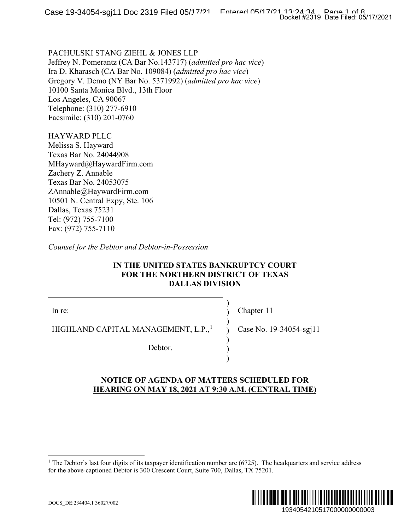PACHULSKI STANG ZIEHL & JONES LLP Jeffrey N. Pomerantz (CA Bar No.143717) (*admitted pro hac vice*) Ira D. Kharasch (CA Bar No. 109084) (*admitted pro hac vice*) Gregory V. Demo (NY Bar No. 5371992) (*admitted pro hac vice*) 10100 Santa Monica Blvd., 13th Floor Los Angeles, CA 90067 Telephone: (310) 277-6910 Facsimile: (310) 201-0760

HAYWARD PLLC Melissa S. Hayward Texas Bar No. 24044908 MHayward@HaywardFirm.com Zachery Z. Annable Texas Bar No. 24053075 ZAnnable@HaywardFirm.com 10501 N. Central Expy, Ste. 106 Dallas, Texas 75231 Tel: (972) 755-7100 Fax: (972) 755-7110

*Counsel for the Debtor and Debtor-in-Possession*

### **IN THE UNITED STATES BANKRUPTCY COURT FOR THE NORTHERN DISTRICT OF TEXAS DALLAS DIVISION**

In re:

HIGHLAND CAPITAL MANAGEMENT, L.P.,<sup>[1](#page-0-0)</sup>

Chapter 11

) ) ) ) ) ) )

Case No. 19-34054-sgj11

Debtor.

## <span id="page-0-0"></span>**NOTICE OF AGENDA OF MATTERS SCHEDULED FOR HEARING ON MAY 18, 2021 AT 9:30 A.M. (CENTRAL TIME)**

<sup>&</sup>lt;sup>1</sup> The Debtor's last four digits of its taxpayer identification number are  $(6725)$ . The headquarters and service address for the above-captioned Debtor is 300 Crescent Court, Suite 700, Dallas, TX 75201.

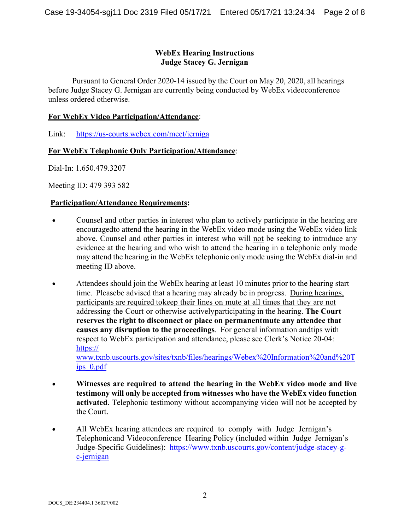## **WebEx Hearing Instructions Judge Stacey G. Jernigan**

Pursuant to General Order 2020-14 issued by the Court on May 20, 2020, all hearings before Judge Stacey G. Jernigan are currently being conducted by WebEx videoconference unless ordered otherwise.

### **For WebEx Video Participation/Attendance**:

Link: https://us-courts.webex.com/meet/jerniga

## **For WebEx Telephonic Only Participation/Attendance**:

Dial-In: 1.650.479.3207

Meeting ID: 479 393 582

### **Participation/Attendance Requirements:**

- Counsel and other parties in interest who plan to actively participate in the hearing are encouragedto attend the hearing in the WebEx video mode using the WebEx video link above. Counsel and other parties in interest who will not be seeking to introduce any evidence at the hearing and who wish to attend the hearing in a telephonic only mode may attend the hearing in the WebEx telephonic only mode using the WebEx dial-in and meeting ID above.
- Attendees should join the WebEx hearing at least 10 minutes prior to the hearing start time. Pleasebe advised that a hearing may already be in progress. During hearings, participants are required tokeep their lines on mute at all times that they are not addressing the Court or otherwise activelyparticipating in the hearing. **The Court reserves the right to disconnect or place on permanentmute any attendee that causes any disruption to the proceedings**. For general information andtips with respect to WebEx participation and attendance, please see Clerk's Notice 20-04: https:// [www.txnb.uscourts.gov/sites/txnb/files/hearings/Webex%20Information%20and%20T](http://www.txnb.uscourts.gov/sites/txnb/files/hearings/Webex%20Information%20and%20Tips_0.pdf) [ips\\_0.pdf](http://www.txnb.uscourts.gov/sites/txnb/files/hearings/Webex%20Information%20and%20Tips_0.pdf)
- **Witnesses are required to attend the hearing in the WebEx video mode and live testimony will only be accepted from witnesses who have the WebEx video function activated**. Telephonic testimony without accompanying video will not be accepted by the Court.
- All WebEx hearing attendees are required to comply with Judge Jernigan's Telephonicand Videoconference Hearing Policy (included within Judge Jernigan's Judge-Specific Guidelines): [https://www.txnb.uscourts.gov/content/judge-stacey-g](http://www.txnb.uscourts.gov/content/judge-stacey-g-c-jernigan)[c-jernigan](http://www.txnb.uscourts.gov/content/judge-stacey-g-c-jernigan)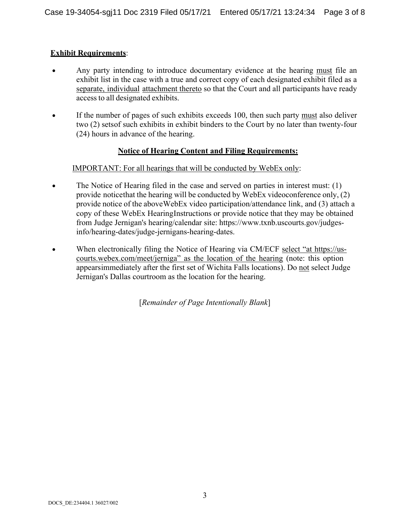## **Exhibit Requirements**:

- Any party intending to introduce documentary evidence at the hearing must file an exhibit list in the case with a true and correct copy of each designated exhibit filed as a separate, individual attachment thereto so that the Court and all participants have ready accessto all designated exhibits.
- If the number of pages of such exhibits exceeds 100, then such party must also deliver two (2) setsof such exhibits in exhibit binders to the Court by no later than twenty-four (24) hours in advance of the hearing.

## **Notice of Hearing Content and Filing Requirements:**

### IMPORTANT: For all hearings that will be conducted by WebEx only:

- The Notice of Hearing filed in the case and served on parties in interest must: (1) provide noticethat the hearing will be conducted by WebEx videoconference only, (2) provide notice of the aboveWebEx video participation/attendance link, and (3) attach a copy of these WebEx HearingInstructions or provide notice that they may be obtained from Judge Jernigan's hearing/calendar site: [https://www.txnb.uscourts.gov/judges](http://www.txnb.uscourts.gov/judges-info/hearing-dates/judge-jernigans-hearing-dates)[info/hearing-dates/judge-jernigans-hearing-dates.](http://www.txnb.uscourts.gov/judges-info/hearing-dates/judge-jernigans-hearing-dates)
- When electronically filing the Notice of Hearing via CM/ECF select "at https://uscourts.webex.com/meet/jerniga" as the location of the hearing (note: this option appearsimmediately after the first set of Wichita Falls locations). Do not select Judge Jernigan's Dallas courtroom as the location for the hearing.

[*Remainder of Page Intentionally Blank*]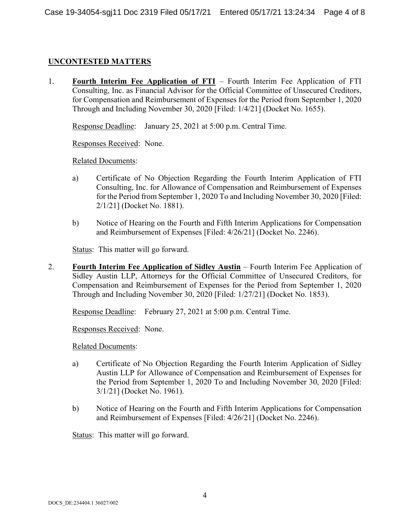## **UNCONTESTED MATTERS**

1. **Fourth Interim Fee Application of FTI** – Fourth Interim Fee Application of FTI Consulting, Inc. as Financial Advisor for the Official Committee of Unsecured Creditors, for Compensation and Reimbursement of Expenses for the Period from September 1, 2020 Through and Including November 30, 2020 [Filed: 1/4/21] (Docket No. 1655).

Response Deadline: January 25, 2021 at 5:00 p.m. Central Time.

Responses Received: None.

Related Documents:

- a) Certificate of No Objection Regarding the Fourth Interim Application of FTI Consulting, Inc. for Allowance of Compensation and Reimbursement of Expenses for the Period from September 1, 2020 To and Including November 30, 2020 [Filed: 2/1/21] (Docket No. 1881).
- b) Notice of Hearing on the Fourth and Fifth Interim Applications for Compensation and Reimbursement of Expenses [Filed: 4/26/21] (Docket No. 2246).

Status: This matter will go forward.

2. **Fourth Interim Fee Application of Sidley Austin** – Fourth Interim Fee Application of Sidley Austin LLP, Attorneys for the Official Committee of Unsecured Creditors, for Compensation and Reimbursement of Expenses for the Period from September 1, 2020 Through and Including November 30, 2020 [Filed: 1/27/21] (Docket No. 1853).

Response Deadline: February 27, 2021 at 5:00 p.m. Central Time.

Responses Received: None.

Related Documents:

- a) Certificate of No Objection Regarding the Fourth Interim Application of Sidley Austin LLP for Allowance of Compensation and Reimbursement of Expenses for the Period from September 1, 2020 To and Including November 30, 2020 [Filed: 3/1/21] (Docket No. 1961).
- b) Notice of Hearing on the Fourth and Fifth Interim Applications for Compensation and Reimbursement of Expenses [Filed: 4/26/21] (Docket No. 2246).

Status: This matter will go forward.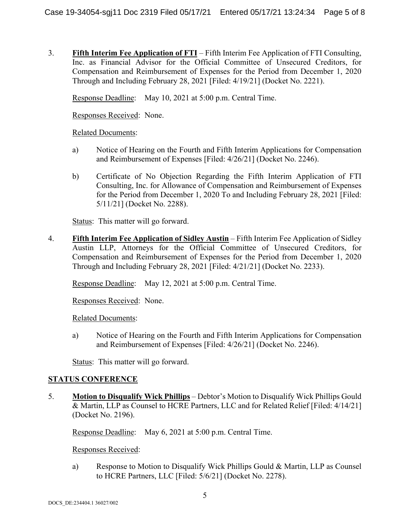3. **Fifth Interim Fee Application of FTI** – Fifth Interim Fee Application of FTI Consulting, Inc. as Financial Advisor for the Official Committee of Unsecured Creditors, for Compensation and Reimbursement of Expenses for the Period from December 1, 2020 Through and Including February 28, 2021 [Filed: 4/19/21] (Docket No. 2221).

Response Deadline: May 10, 2021 at 5:00 p.m. Central Time.

Responses Received: None.

Related Documents:

- a) Notice of Hearing on the Fourth and Fifth Interim Applications for Compensation and Reimbursement of Expenses [Filed: 4/26/21] (Docket No. 2246).
- b) Certificate of No Objection Regarding the Fifth Interim Application of FTI Consulting, Inc. for Allowance of Compensation and Reimbursement of Expenses for the Period from December 1, 2020 To and Including February 28, 2021 [Filed: 5/11/21] (Docket No. 2288).

Status: This matter will go forward.

4. **Fifth Interim Fee Application of Sidley Austin** – Fifth Interim Fee Application of Sidley Austin LLP, Attorneys for the Official Committee of Unsecured Creditors, for Compensation and Reimbursement of Expenses for the Period from December 1, 2020 Through and Including February 28, 2021 [Filed: 4/21/21] (Docket No. 2233).

Response Deadline: May 12, 2021 at 5:00 p.m. Central Time.

Responses Received: None.

Related Documents:

a) Notice of Hearing on the Fourth and Fifth Interim Applications for Compensation and Reimbursement of Expenses [Filed: 4/26/21] (Docket No. 2246).

Status: This matter will go forward.

# **STATUS CONFERENCE**

5. **Motion to Disqualify Wick Phillips** – Debtor's Motion to Disqualify Wick Phillips Gould & Martin, LLP as Counsel to HCRE Partners, LLC and for Related Relief [Filed: 4/14/21] (Docket No. 2196).

Response Deadline: May 6, 2021 at 5:00 p.m. Central Time.

Responses Received:

a) Response to Motion to Disqualify Wick Phillips Gould & Martin, LLP as Counsel to HCRE Partners, LLC [Filed: 5/6/21] (Docket No. 2278).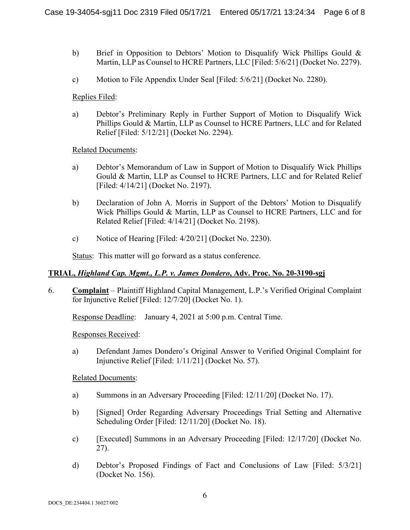- b) Brief in Opposition to Debtors' Motion to Disqualify Wick Phillips Gould & Martin, LLP as Counsel to HCRE Partners, LLC [Filed: 5/6/21] (Docket No. 2279).
- c) Motion to File Appendix Under Seal [Filed: 5/6/21] (Docket No. 2280).

### Replies Filed:

a) Debtor's Preliminary Reply in Further Support of Motion to Disqualify Wick Phillips Gould & Martin, LLP as Counsel to HCRE Partners, LLC and for Related Relief [Filed: 5/12/21] (Docket No. 2294).

Related Documents:

- a) Debtor's Memorandum of Law in Support of Motion to Disqualify Wick Phillips Gould & Martin, LLP as Counsel to HCRE Partners, LLC and for Related Relief [Filed: 4/14/21] (Docket No. 2197).
- b) Declaration of John A. Morris in Support of the Debtors' Motion to Disqualify Wick Phillips Gould & Martin, LLP as Counsel to HCRE Partners, LLC and for Related Relief [Filed: 4/14/21] (Docket No. 2198).
- c) Notice of Hearing [Filed: 4/20/21] (Docket No. 2230).

Status: This matter will go forward as a status conference.

### **TRIAL,** *Highland Cap. Mgmt., L.P. v. James Dondero***, Adv. Proc. No. 20-3190-sgj**

6. **Complaint** – Plaintiff Highland Capital Management, L.P.'s Verified Original Complaint for Injunctive Relief [Filed: 12/7/20] (Docket No. 1).

Response Deadline: January 4, 2021 at 5:00 p.m. Central Time.

### Responses Received:

a) Defendant James Dondero's Original Answer to Verified Original Complaint for Injunctive Relief [Filed: 1/11/21] (Docket No. 57).

### Related Documents:

- a) Summons in an Adversary Proceeding [Filed: 12/11/20] (Docket No. 17).
- b) [Signed] Order Regarding Adversary Proceedings Trial Setting and Alternative Scheduling Order [Filed: 12/11/20] (Docket No. 18).
- c) [Executed] Summons in an Adversary Proceeding [Filed: 12/17/20] (Docket No. 27).
- d) Debtor's Proposed Findings of Fact and Conclusions of Law [Filed: 5/3/21] (Docket No. 156).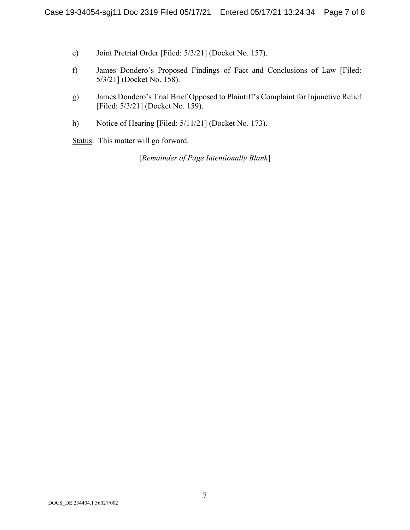- e) Joint Pretrial Order [Filed: 5/3/21] (Docket No. 157).
- f) James Dondero's Proposed Findings of Fact and Conclusions of Law [Filed: 5/3/21] (Docket No. 158).
- g) James Dondero's Trial Brief Opposed to Plaintiff's Complaint for Injunctive Relief [Filed: 5/3/21] (Docket No. 159).
- h) Notice of Hearing [Filed: 5/11/21] (Docket No. 173).

Status: This matter will go forward.

[*Remainder of Page Intentionally Blank*]